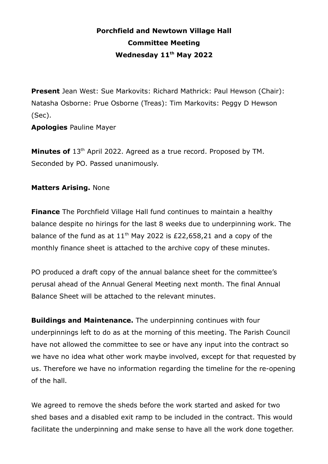## **Porchfield and Newtown Village Hall Committee Meeting Wednesday 11th May 2022**

**Present** Jean West: Sue Markovits: Richard Mathrick: Paul Hewson (Chair): Natasha Osborne: Prue Osborne (Treas): Tim Markovits: Peggy D Hewson (Sec).

**Apologies** Pauline Mayer

Minutes of 13<sup>th</sup> April 2022. Agreed as a true record. Proposed by TM. Seconded by PO. Passed unanimously.

## **Matters Arising.** None

**Finance** The Porchfield Village Hall fund continues to maintain a healthy balance despite no hirings for the last 8 weeks due to underpinning work. The balance of the fund as at  $11<sup>th</sup>$  May 2022 is £22,658,21 and a copy of the monthly finance sheet is attached to the archive copy of these minutes.

PO produced a draft copy of the annual balance sheet for the committee's perusal ahead of the Annual General Meeting next month. The final Annual Balance Sheet will be attached to the relevant minutes.

**Buildings and Maintenance.** The underpinning continues with four underpinnings left to do as at the morning of this meeting. The Parish Council have not allowed the committee to see or have any input into the contract so we have no idea what other work maybe involved, except for that requested by us. Therefore we have no information regarding the timeline for the re-opening of the hall.

We agreed to remove the sheds before the work started and asked for two shed bases and a disabled exit ramp to be included in the contract. This would facilitate the underpinning and make sense to have all the work done together.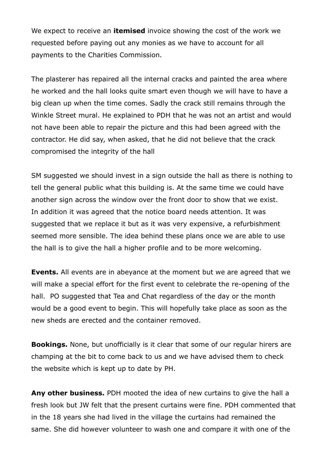We expect to receive an **itemised** invoice showing the cost of the work we requested before paying out any monies as we have to account for all payments to the Charities Commission.

The plasterer has repaired all the internal cracks and painted the area where he worked and the hall looks quite smart even though we will have to have a big clean up when the time comes. Sadly the crack still remains through the Winkle Street mural. He explained to PDH that he was not an artist and would not have been able to repair the picture and this had been agreed with the contractor. He did say, when asked, that he did not believe that the crack compromised the integrity of the hall

SM suggested we should invest in a sign outside the hall as there is nothing to tell the general public what this building is. At the same time we could have another sign across the window over the front door to show that we exist. In addition it was agreed that the notice board needs attention. It was suggested that we replace it but as it was very expensive, a refurbishment seemed more sensible. The idea behind these plans once we are able to use the hall is to give the hall a higher profile and to be more welcoming.

**Events.** All events are in abeyance at the moment but we are agreed that we will make a special effort for the first event to celebrate the re-opening of the hall. PO suggested that Tea and Chat regardless of the day or the month would be a good event to begin. This will hopefully take place as soon as the new sheds are erected and the container removed.

**Bookings.** None, but unofficially is it clear that some of our regular hirers are champing at the bit to come back to us and we have advised them to check the website which is kept up to date by PH.

**Any other business.** PDH mooted the idea of new curtains to give the hall a fresh look but JW felt that the present curtains were fine. PDH commented that in the 18 years she had lived in the village the curtains had remained the same. She did however volunteer to wash one and compare it with one of the